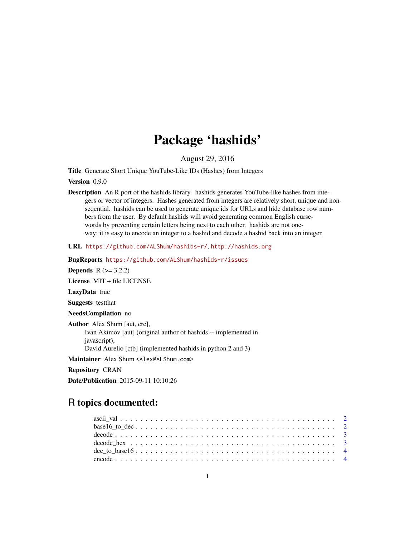## Package 'hashids'

August 29, 2016

Title Generate Short Unique YouTube-Like IDs (Hashes) from Integers

Version 0.9.0

Description An R port of the hashids library. hashids generates YouTube-like hashes from integers or vector of integers. Hashes generated from integers are relatively short, unique and nonseqential. hashids can be used to generate unique ids for URLs and hide database row numbers from the user. By default hashids will avoid generating common English cursewords by preventing certain letters being next to each other. hashids are not oneway: it is easy to encode an integer to a hashid and decode a hashid back into an integer.

URL <https://github.com/ALShum/hashids-r/>, <http://hashids.org>

BugReports <https://github.com/ALShum/hashids-r/issues>

**Depends**  $R (= 3.2.2)$ 

License MIT + file LICENSE

LazyData true

Suggests testthat

NeedsCompilation no

Author Alex Shum [aut, cre], Ivan Akimov [aut] (original author of hashids -- implemented in javascript), David Aurelio [ctb] (implemented hashids in python 2 and 3)

Maintainer Alex Shum <Alex@ALShum.com>

Repository CRAN

Date/Publication 2015-09-11 10:10:26

### R topics documented: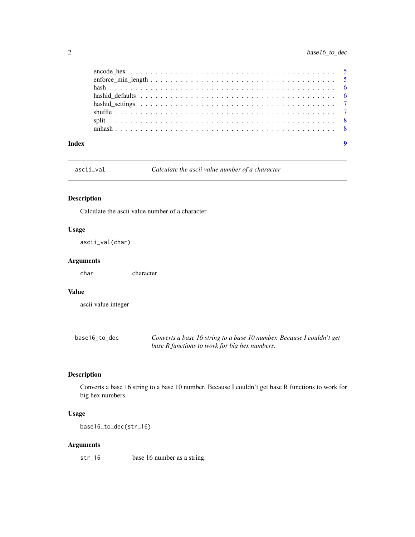<span id="page-1-0"></span>

ascii\_val *Calculate the ascii value number of a character*

#### Description

Calculate the ascii value number of a character

#### Usage

ascii\_val(char)

#### Arguments

char character

#### Value

ascii value integer

| base16_to_dec | Converts a base 16 string to a base 10 number. Because I couldn't get |
|---------------|-----------------------------------------------------------------------|
|               | base R functions to work for big hex numbers.                         |

#### Description

Converts a base 16 string to a base 10 number. Because I couldn't get base R functions to work for big hex numbers.

#### Usage

base16\_to\_dec(str\_16)

#### Arguments

str\_16 base 16 number as a string.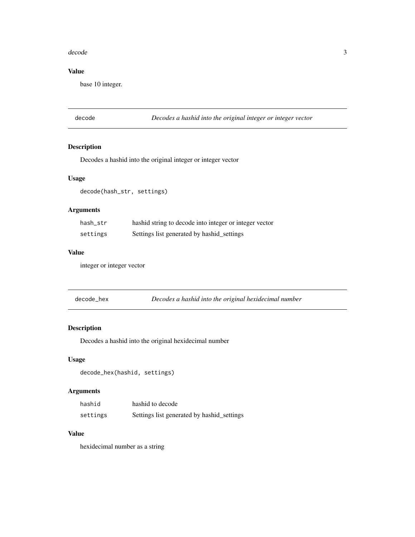#### <span id="page-2-0"></span>decode 3

#### Value

base 10 integer.

decode *Decodes a hashid into the original integer or integer vector*

#### Description

Decodes a hashid into the original integer or integer vector

#### Usage

decode(hash\_str, settings)

#### Arguments

| hash_str | hashid string to decode into integer or integer vector |
|----------|--------------------------------------------------------|
| settings | Settings list generated by hashid_settings             |

#### Value

integer or integer vector

| decode hex | Decodes a hashid into the original hexidecimal number |  |
|------------|-------------------------------------------------------|--|
|------------|-------------------------------------------------------|--|

#### Description

Decodes a hashid into the original hexidecimal number

#### Usage

decode\_hex(hashid, settings)

#### Arguments

| hashid   | hashid to decode                           |
|----------|--------------------------------------------|
| settings | Settings list generated by hashid_settings |

#### Value

hexidecimal number as a string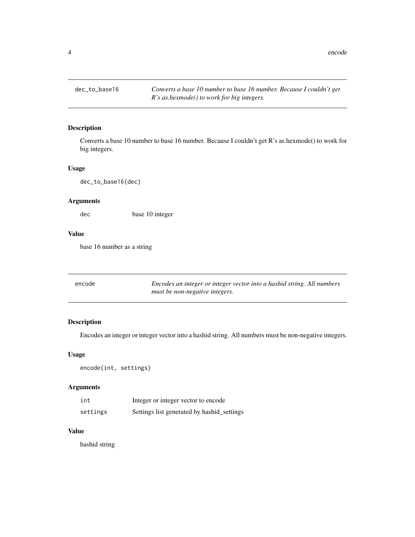<span id="page-3-0"></span>4 encode encode encode encode encode encode encode encode encode encode encode encode encode encode encode encode encode encode encode encode encode encode encode encode encode encode encode encode encode encode encode enc

#### Description

Converts a base 10 number to base 16 number. Because I couldn't get R's as.hexmode() to work for big integers.

#### Usage

dec\_to\_base16(dec)

#### Arguments

dec base 10 integer

#### Value

base 16 number as a string

| encode | Encodes an integer or integer vector into a hashid string. All numbers |
|--------|------------------------------------------------------------------------|
|        | must be non-negative integers.                                         |

#### Description

Encodes an integer or integer vector into a hashid string. All numbers must be non-negative integers.

#### Usage

```
encode(int, settings)
```
#### Arguments

| int      | Integer or integer vector to encode        |
|----------|--------------------------------------------|
| settings | Settings list generated by hashid_settings |

#### Value

hashid string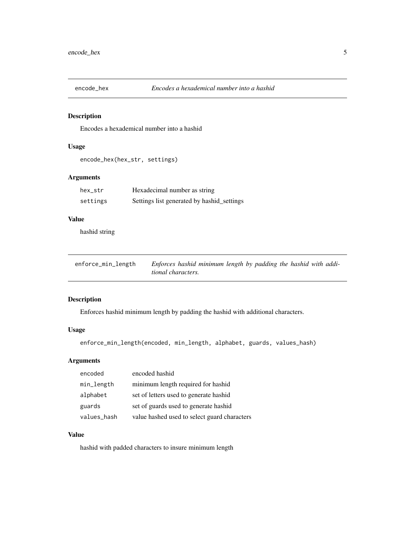<span id="page-4-0"></span>

#### Description

Encodes a hexademical number into a hashid

#### Usage

```
encode_hex(hex_str, settings)
```
#### Arguments

| hex_str  | Hexadecimal number as string               |
|----------|--------------------------------------------|
| settings | Settings list generated by hashid_settings |

#### Value

hashid string

| enforce_min_length | Enforces hashid minimum length by padding the hashid with addi- |  |
|--------------------|-----------------------------------------------------------------|--|
|                    | tional characters.                                              |  |

#### Description

Enforces hashid minimum length by padding the hashid with additional characters.

#### Usage

```
enforce_min_length(encoded, min_length, alphabet, guards, values_hash)
```
#### Arguments

| encoded     | encoded hashid                               |
|-------------|----------------------------------------------|
| min_length  | minimum length required for hashid           |
| alphabet    | set of letters used to generate hashid       |
| guards      | set of guards used to generate hashid        |
| values_hash | value hashed used to select guard characters |

#### Value

hashid with padded characters to insure minimum length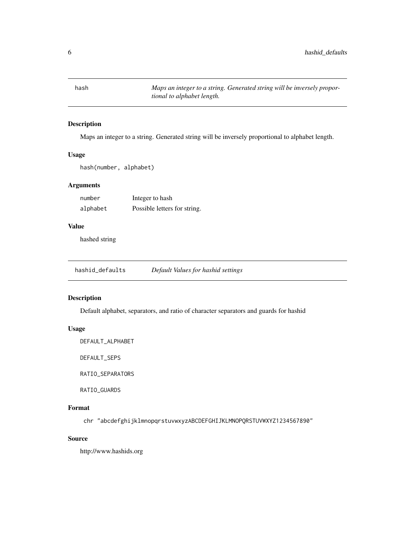<span id="page-5-0"></span>hash *Maps an integer to a string. Generated string will be inversely proportional to alphabet length.*

#### Description

Maps an integer to a string. Generated string will be inversely proportional to alphabet length.

#### Usage

hash(number, alphabet)

#### Arguments

| number   | Integer to hash              |
|----------|------------------------------|
| alphabet | Possible letters for string. |

#### Value

hashed string

hashid\_defaults *Default Values for hashid settings*

#### Description

Default alphabet, separators, and ratio of character separators and guards for hashid

#### Usage

DEFAULT\_ALPHABET

DEFAULT\_SEPS

RATIO\_SEPARATORS

RATIO\_GUARDS

#### Format

chr "abcdefghijklmnopqrstuvwxyzABCDEFGHIJKLMNOPQRSTUVWXYZ1234567890"

#### Source

http://www.hashids.org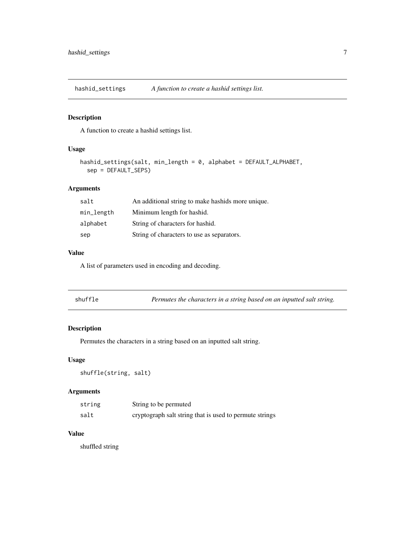<span id="page-6-0"></span>hashid\_settings *A function to create a hashid settings list.*

#### Description

A function to create a hashid settings list.

#### Usage

```
hashid_settings(salt, min_length = 0, alphabet = DEFAULT_ALPHABET,
sep = DEFAULT_SEPS)
```
#### Arguments

| salt       | An additional string to make hashids more unique. |
|------------|---------------------------------------------------|
| min_length | Minimum length for hashid.                        |
| alphabet   | String of characters for hashid.                  |
| sep        | String of characters to use as separators.        |

#### Value

A list of parameters used in encoding and decoding.

| Permutes the characters in a string based on an inputted salt string. |
|-----------------------------------------------------------------------|
|                                                                       |

#### Description

Permutes the characters in a string based on an inputted salt string.

#### Usage

shuffle(string, salt)

#### Arguments

| string | String to be permuted                                   |
|--------|---------------------------------------------------------|
| salt   | cryptograph salt string that is used to permute strings |

#### Value

shuffled string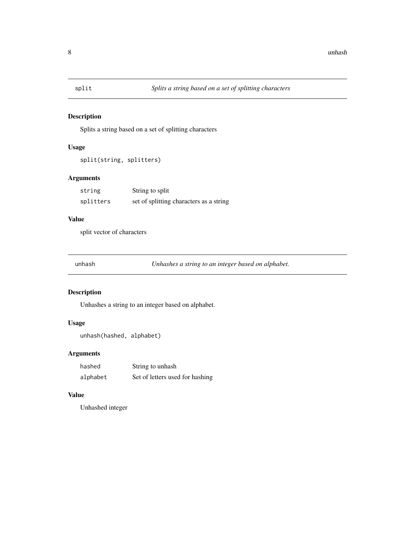<span id="page-7-0"></span>

#### Description

Splits a string based on a set of splitting characters

#### Usage

```
split(string, splitters)
```
#### Arguments

| string    | String to split                         |
|-----------|-----------------------------------------|
| splitters | set of splitting characters as a string |

#### Value

split vector of characters

unhash *Unhashes a string to an integer based on alphabet.*

#### Description

Unhashes a string to an integer based on alphabet.

#### Usage

```
unhash(hashed, alphabet)
```
#### Arguments

| hashed   | String to unhash                |
|----------|---------------------------------|
| alphabet | Set of letters used for hashing |

#### Value

Unhashed integer